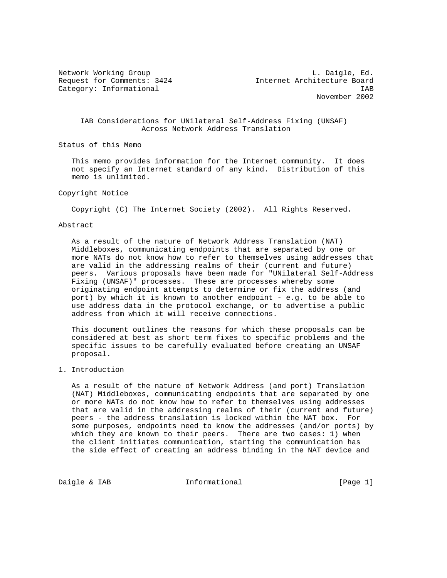Network Working Group and Communications of the U.S. Daigle, Ed. Request for Comments: 3424 Internet Architecture Board Category: Informational intervals of the set of the set of the set of the set of the set of the set of the set of the set of the set of the set of the set of the set of the set of the set of the set of the set of the set o November 2002

## IAB Considerations for UNilateral Self-Address Fixing (UNSAF) Across Network Address Translation

Status of this Memo

 This memo provides information for the Internet community. It does not specify an Internet standard of any kind. Distribution of this memo is unlimited.

## Copyright Notice

Copyright (C) The Internet Society (2002). All Rights Reserved.

## Abstract

 As a result of the nature of Network Address Translation (NAT) Middleboxes, communicating endpoints that are separated by one or more NATs do not know how to refer to themselves using addresses that are valid in the addressing realms of their (current and future) peers. Various proposals have been made for "UNilateral Self-Address Fixing (UNSAF)" processes. These are processes whereby some originating endpoint attempts to determine or fix the address (and port) by which it is known to another endpoint - e.g. to be able to use address data in the protocol exchange, or to advertise a public address from which it will receive connections.

 This document outlines the reasons for which these proposals can be considered at best as short term fixes to specific problems and the specific issues to be carefully evaluated before creating an UNSAF proposal.

#### 1. Introduction

 As a result of the nature of Network Address (and port) Translation (NAT) Middleboxes, communicating endpoints that are separated by one or more NATs do not know how to refer to themselves using addresses that are valid in the addressing realms of their (current and future) peers - the address translation is locked within the NAT box. For some purposes, endpoints need to know the addresses (and/or ports) by which they are known to their peers. There are two cases: 1) when the client initiates communication, starting the communication has the side effect of creating an address binding in the NAT device and

Daigle & IAB **Informational** [Page 1]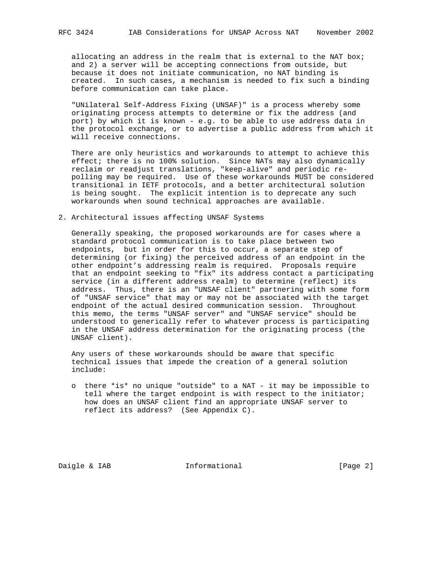allocating an address in the realm that is external to the NAT box; and 2) a server will be accepting connections from outside, but because it does not initiate communication, no NAT binding is created. In such cases, a mechanism is needed to fix such a binding before communication can take place.

 "UNilateral Self-Address Fixing (UNSAF)" is a process whereby some originating process attempts to determine or fix the address (and port) by which it is known - e.g. to be able to use address data in the protocol exchange, or to advertise a public address from which it will receive connections.

 There are only heuristics and workarounds to attempt to achieve this effect; there is no 100% solution. Since NATs may also dynamically reclaim or readjust translations, "keep-alive" and periodic re polling may be required. Use of these workarounds MUST be considered transitional in IETF protocols, and a better architectural solution is being sought. The explicit intention is to deprecate any such workarounds when sound technical approaches are available.

# 2. Architectural issues affecting UNSAF Systems

 Generally speaking, the proposed workarounds are for cases where a standard protocol communication is to take place between two endpoints, but in order for this to occur, a separate step of determining (or fixing) the perceived address of an endpoint in the other endpoint's addressing realm is required. Proposals require that an endpoint seeking to "fix" its address contact a participating service (in a different address realm) to determine (reflect) its address. Thus, there is an "UNSAF client" partnering with some form of "UNSAF service" that may or may not be associated with the target endpoint of the actual desired communication session. Throughout this memo, the terms "UNSAF server" and "UNSAF service" should be understood to generically refer to whatever process is participating in the UNSAF address determination for the originating process (the UNSAF client).

 Any users of these workarounds should be aware that specific technical issues that impede the creation of a general solution include:

 o there \*is\* no unique "outside" to a NAT - it may be impossible to tell where the target endpoint is with respect to the initiator; how does an UNSAF client find an appropriate UNSAF server to reflect its address? (See Appendix C).

Daigle & IAB **Informational** [Page 2]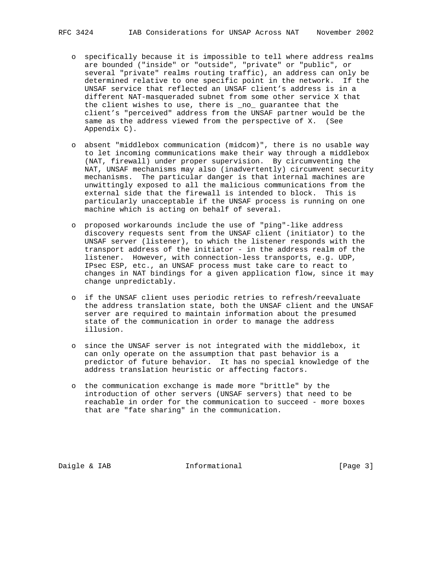- o specifically because it is impossible to tell where address realms are bounded ("inside" or "outside", "private" or "public", or several "private" realms routing traffic), an address can only be determined relative to one specific point in the network. If the UNSAF service that reflected an UNSAF client's address is in a different NAT-masqueraded subnet from some other service X that the client wishes to use, there is \_no\_ guarantee that the client's "perceived" address from the UNSAF partner would be the same as the address viewed from the perspective of X. (See Appendix C).
- o absent "middlebox communication (midcom)", there is no usable way to let incoming communications make their way through a middlebox (NAT, firewall) under proper supervision. By circumventing the NAT, UNSAF mechanisms may also (inadvertently) circumvent security mechanisms. The particular danger is that internal machines are unwittingly exposed to all the malicious communications from the external side that the firewall is intended to block. This is particularly unacceptable if the UNSAF process is running on one machine which is acting on behalf of several.
- o proposed workarounds include the use of "ping"-like address discovery requests sent from the UNSAF client (initiator) to the UNSAF server (listener), to which the listener responds with the transport address of the initiator - in the address realm of the listener. However, with connection-less transports, e.g. UDP, IPsec ESP, etc., an UNSAF process must take care to react to changes in NAT bindings for a given application flow, since it may change unpredictably.
	- o if the UNSAF client uses periodic retries to refresh/reevaluate the address translation state, both the UNSAF client and the UNSAF server are required to maintain information about the presumed state of the communication in order to manage the address illusion.
	- o since the UNSAF server is not integrated with the middlebox, it can only operate on the assumption that past behavior is a predictor of future behavior. It has no special knowledge of the address translation heuristic or affecting factors.
	- o the communication exchange is made more "brittle" by the introduction of other servers (UNSAF servers) that need to be reachable in order for the communication to succeed - more boxes that are "fate sharing" in the communication.

Daigle & IAB **Informational** [Page 3]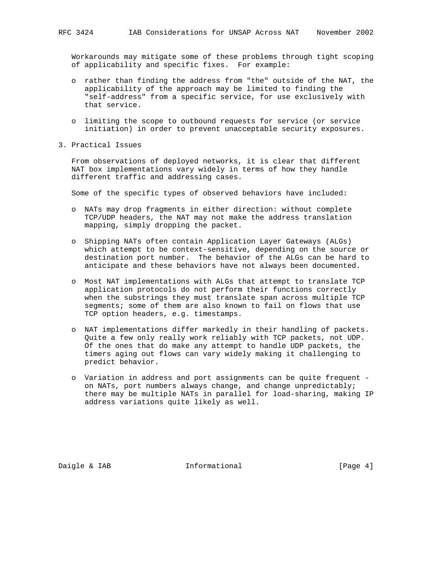Workarounds may mitigate some of these problems through tight scoping of applicability and specific fixes. For example:

- o rather than finding the address from "the" outside of the NAT, the applicability of the approach may be limited to finding the "self-address" from a specific service, for use exclusively with that service.
- o limiting the scope to outbound requests for service (or service initiation) in order to prevent unacceptable security exposures.
- 3. Practical Issues

 From observations of deployed networks, it is clear that different NAT box implementations vary widely in terms of how they handle different traffic and addressing cases.

Some of the specific types of observed behaviors have included:

- o NATs may drop fragments in either direction: without complete TCP/UDP headers, the NAT may not make the address translation mapping, simply dropping the packet.
- o Shipping NATs often contain Application Layer Gateways (ALGs) which attempt to be context-sensitive, depending on the source or destination port number. The behavior of the ALGs can be hard to anticipate and these behaviors have not always been documented.
- o Most NAT implementations with ALGs that attempt to translate TCP application protocols do not perform their functions correctly when the substrings they must translate span across multiple TCP segments; some of them are also known to fail on flows that use TCP option headers, e.g. timestamps.
- o NAT implementations differ markedly in their handling of packets. Quite a few only really work reliably with TCP packets, not UDP. Of the ones that do make any attempt to handle UDP packets, the timers aging out flows can vary widely making it challenging to predict behavior.
- o Variation in address and port assignments can be quite frequent on NATs, port numbers always change, and change unpredictably; there may be multiple NATs in parallel for load-sharing, making IP address variations quite likely as well.

Daigle & IAB **Informational Informational** [Page 4]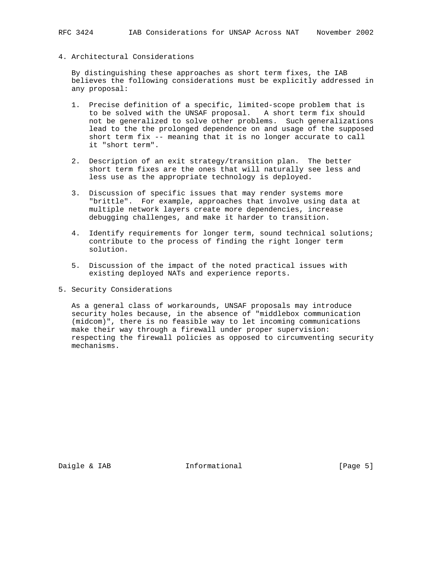4. Architectural Considerations

 By distinguishing these approaches as short term fixes, the IAB believes the following considerations must be explicitly addressed in any proposal:

- 1. Precise definition of a specific, limited-scope problem that is to be solved with the UNSAF proposal. A short term fix should not be generalized to solve other problems. Such generalizations lead to the the prolonged dependence on and usage of the supposed short term fix -- meaning that it is no longer accurate to call it "short term".
- 2. Description of an exit strategy/transition plan. The better short term fixes are the ones that will naturally see less and less use as the appropriate technology is deployed.
- 3. Discussion of specific issues that may render systems more "brittle". For example, approaches that involve using data at multiple network layers create more dependencies, increase debugging challenges, and make it harder to transition.
- 4. Identify requirements for longer term, sound technical solutions; contribute to the process of finding the right longer term solution.
- 5. Discussion of the impact of the noted practical issues with existing deployed NATs and experience reports.
- 5. Security Considerations

 As a general class of workarounds, UNSAF proposals may introduce security holes because, in the absence of "middlebox communication (midcom)", there is no feasible way to let incoming communications make their way through a firewall under proper supervision: respecting the firewall policies as opposed to circumventing security mechanisms.

Daigle & IAB **Informational** [Page 5]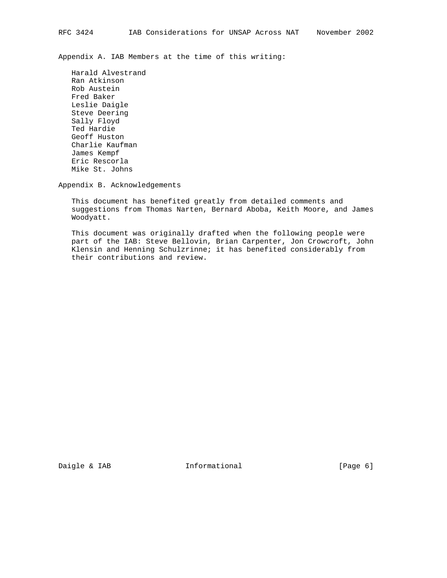Appendix A. IAB Members at the time of this writing:

 Harald Alvestrand Ran Atkinson Rob Austein Fred Baker Leslie Daigle Steve Deering Sally Floyd Ted Hardie Geoff Huston Charlie Kaufman James Kempf Eric Rescorla Mike St. Johns

Appendix B. Acknowledgements

 This document has benefited greatly from detailed comments and suggestions from Thomas Narten, Bernard Aboba, Keith Moore, and James Woodyatt.

 This document was originally drafted when the following people were part of the IAB: Steve Bellovin, Brian Carpenter, Jon Crowcroft, John Klensin and Henning Schulzrinne; it has benefited considerably from their contributions and review.

Daigle & IAB **Informational** [Page 6]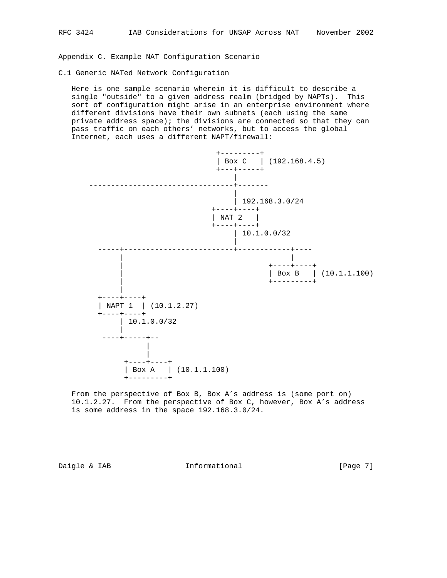Appendix C. Example NAT Configuration Scenario

C.1 Generic NATed Network Configuration

 Here is one sample scenario wherein it is difficult to describe a single "outside" to a given address realm (bridged by NAPTs). This sort of configuration might arise in an enterprise environment where different divisions have their own subnets (each using the same private address space); the divisions are connected so that they can pass traffic on each others' networks, but to access the global Internet, each uses a different NAPT/firewall:



 From the perspective of Box B, Box A's address is (some port on) 10.1.2.27. From the perspective of Box C, however, Box A's address is some address in the space 192.168.3.0/24.

Daigle & IAB **Informational** [Page 7]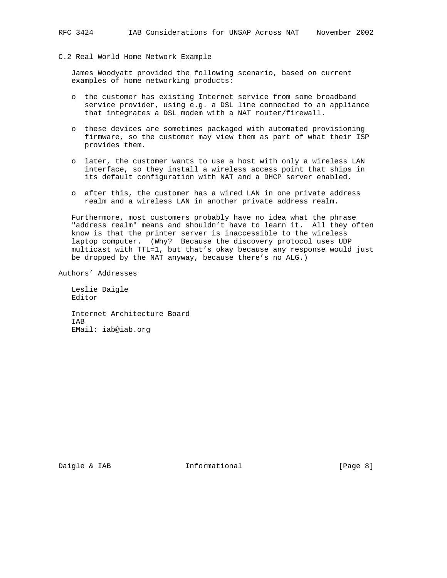C.2 Real World Home Network Example

 James Woodyatt provided the following scenario, based on current examples of home networking products:

- o the customer has existing Internet service from some broadband service provider, using e.g. a DSL line connected to an appliance that integrates a DSL modem with a NAT router/firewall.
- o these devices are sometimes packaged with automated provisioning firmware, so the customer may view them as part of what their ISP provides them.
- o later, the customer wants to use a host with only a wireless LAN interface, so they install a wireless access point that ships in its default configuration with NAT and a DHCP server enabled.
- o after this, the customer has a wired LAN in one private address realm and a wireless LAN in another private address realm.

 Furthermore, most customers probably have no idea what the phrase "address realm" means and shouldn't have to learn it. All they often know is that the printer server is inaccessible to the wireless laptop computer. (Why? Because the discovery protocol uses UDP multicast with TTL=1, but that's okay because any response would just be dropped by the NAT anyway, because there's no ALG.)

Authors' Addresses

 Leslie Daigle Editor

 Internet Architecture Board IAB EMail: iab@iab.org

Daigle & IAB **Informational** [Page 8]